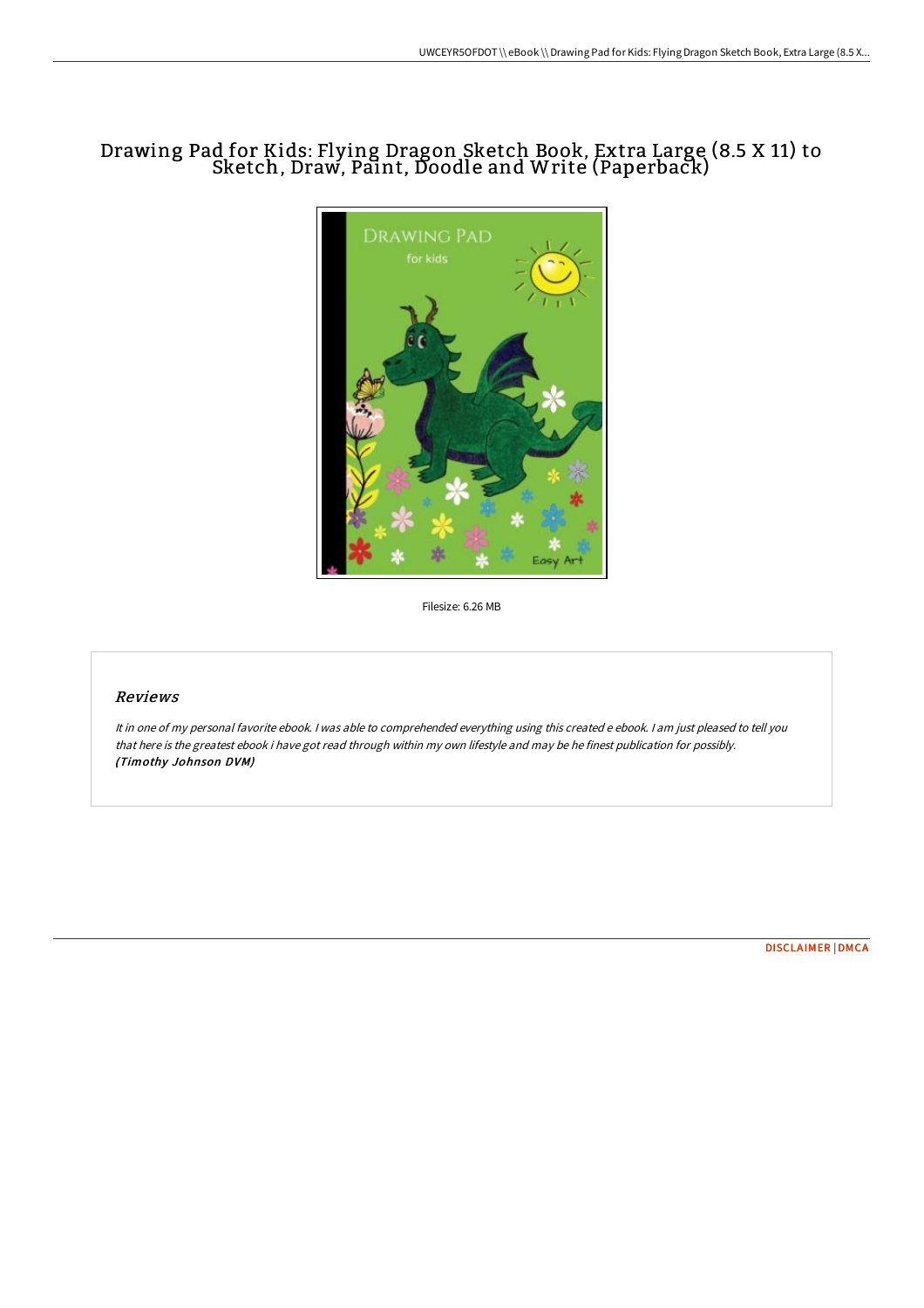# Drawing Pad for Kids: Flying Dragon Sketch Book, Extra Large (8.5 X 11) to Sketch, Draw, Paint, Doodle and Write (Paperback)



Filesize: 6.26 MB

### Reviews

It in one of my personal favorite ebook. <sup>I</sup> was able to comprehended everything using this created <sup>e</sup> ebook. <sup>I</sup> am just pleased to tell you that here is the greatest ebook i have got read through within my own lifestyle and may be he finest publication for possibly. (Timothy Johnson DVM)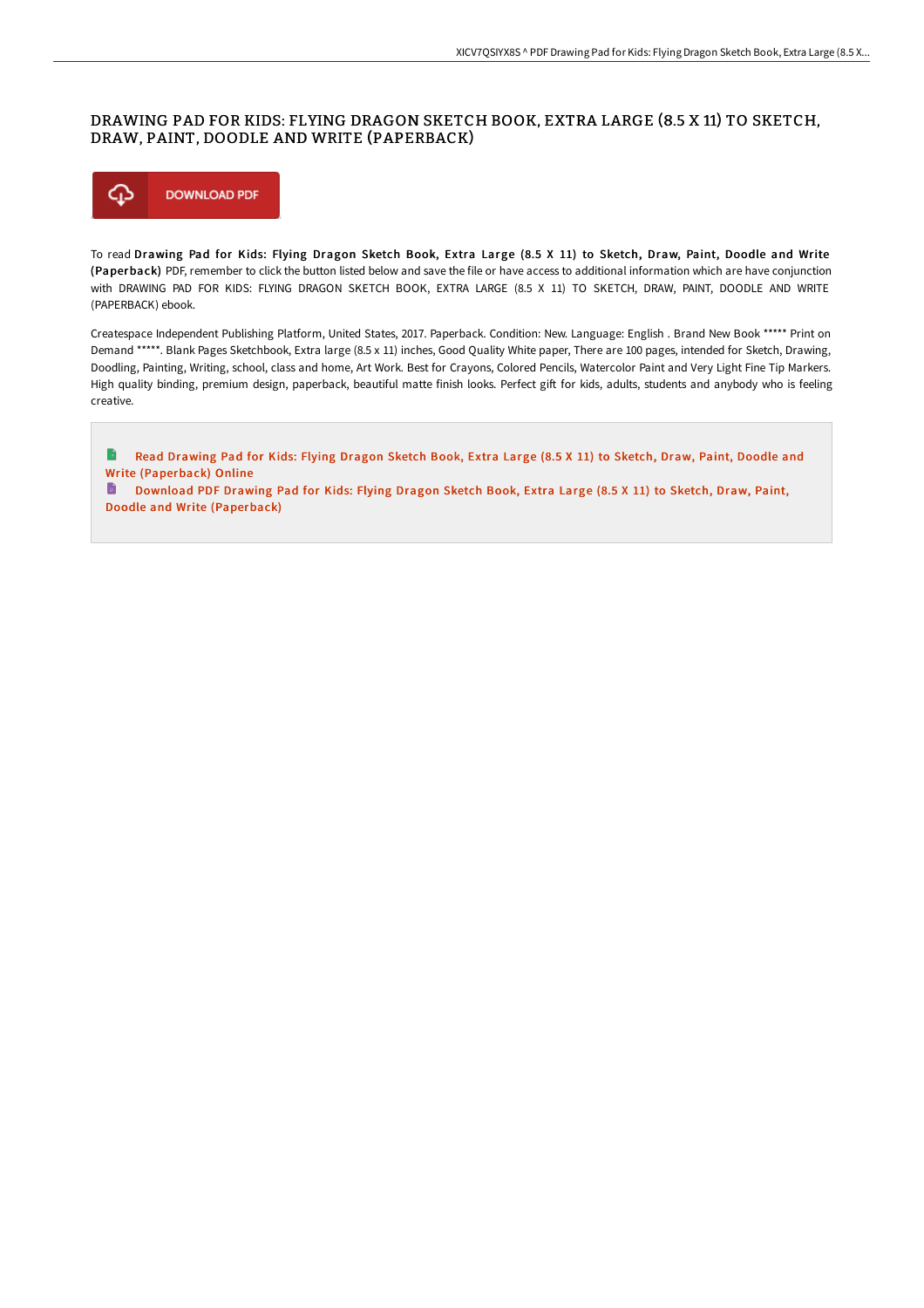#### DRAWING PAD FOR KIDS: FLYING DRAGON SKETCH BOOK, EXTRA LARGE (8.5 X 11) TO SKETCH, DRAW, PAINT, DOODLE AND WRITE (PAPERBACK)



Doodle and Write [\(Paperback\)](http://albedo.media/drawing-pad-for-kids-flying-dragon-sketch-book-e.html)

To read Drawing Pad for Kids: Flying Dragon Sketch Book, Extra Large (8.5 X 11) to Sketch, Draw, Paint, Doodle and Write (Paperback) PDF, remember to click the button listed below and save the file or have access to additional information which are have conjunction with DRAWING PAD FOR KIDS: FLYING DRAGON SKETCH BOOK, EXTRA LARGE (8.5 X 11) TO SKETCH, DRAW, PAINT, DOODLE AND WRITE (PAPERBACK) ebook.

Createspace Independent Publishing Platform, United States, 2017. Paperback. Condition: New. Language: English . Brand New Book \*\*\*\*\* Print on Demand \*\*\*\*\*. Blank Pages Sketchbook, Extra large (8.5 x 11) inches, Good Quality White paper, There are 100 pages, intended for Sketch, Drawing, Doodling, Painting, Writing, school, class and home, Art Work. Best for Crayons, Colored Pencils, Watercolor Paint and Very Light Fine Tip Markers. High quality binding, premium design, paperback, beautiful matte finish looks. Perfect gift for kids, adults, students and anybody who is feeling creative.

 $\rightarrow$ Read Drawing Pad for Kids: Flying Dragon Sketch Book, Extra Large (8.5 X 11) to Sketch, Draw, Paint, Doodle and Write [\(Paperback\)](http://albedo.media/drawing-pad-for-kids-flying-dragon-sketch-book-e.html) Online Download PDF Drawing Pad for Kids: Flying Dragon Sketch Book, Extra Large (8.5 X 11) to Sketch, Draw, Paint,